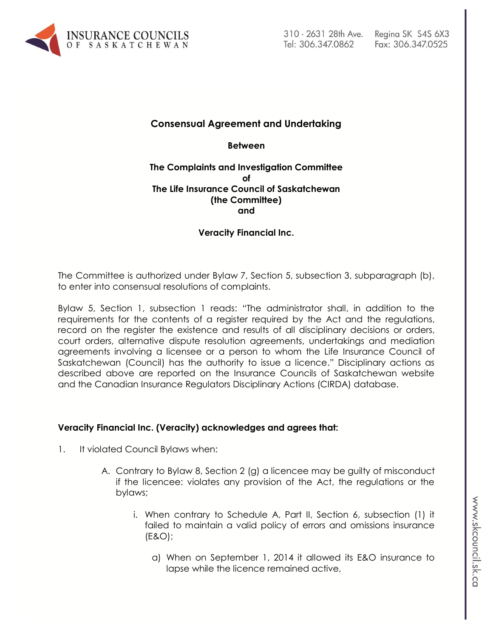

# **Consensual Agreement and Undertaking**

**Between**

### **The Complaints and Investigation Committee of The Life Insurance Council of Saskatchewan (the Committee) and**

### **Veracity Financial Inc.**

The Committee is authorized under Bylaw 7, Section 5, subsection 3, subparagraph (b), to enter into consensual resolutions of complaints.

Bylaw 5, Section 1, subsection 1 reads: "The administrator shall, in addition to the requirements for the contents of a register required by the Act and the regulations, record on the register the existence and results of all disciplinary decisions or orders, court orders, alternative dispute resolution agreements, undertakings and mediation agreements involving a licensee or a person to whom the Life Insurance Council of Saskatchewan (Council) has the authority to issue a licence." Disciplinary actions as described above are reported on the Insurance Councils of Saskatchewan website and the Canadian Insurance Regulators Disciplinary Actions (CIRDA) database.

### **Veracity Financial Inc. (Veracity) acknowledges and agrees that:**

- 1. It violated Council Bylaws when:
	- A. Contrary to Bylaw 8, Section 2 (g) a licencee may be guilty of misconduct if the licencee: violates any provision of the Act, the regulations or the bylaws;
		- i. When contrary to Schedule A, Part II, Section 6, subsection (1) it failed to maintain a valid policy of errors and omissions insurance (E&O);
			- a) When on September 1, 2014 it allowed its E&O insurance to lapse while the licence remained active,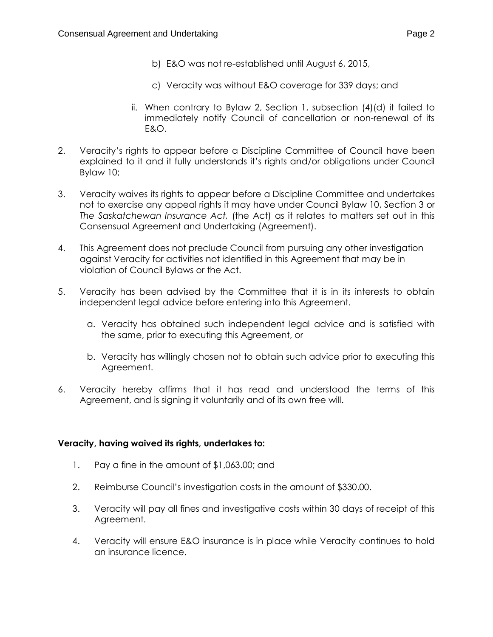- b) E&O was not re-established until August 6, 2015,
- c) Veracity was without E&O coverage for 339 days; and
- ii. When contrary to Bylaw 2, Section 1, subsection (4)(d) it failed to immediately notify Council of cancellation or non-renewal of its E&O.
- 2. Veracity's rights to appear before a Discipline Committee of Council have been explained to it and it fully understands it's rights and/or obligations under Council Bylaw 10;
- 3. Veracity waives its rights to appear before a Discipline Committee and undertakes not to exercise any appeal rights it may have under Council Bylaw 10, Section 3 or *The Saskatchewan Insurance Act,* (the Act) as it relates to matters set out in this Consensual Agreement and Undertaking (Agreement).
- 4. This Agreement does not preclude Council from pursuing any other investigation against Veracity for activities not identified in this Agreement that may be in violation of Council Bylaws or the Act.
- 5. Veracity has been advised by the Committee that it is in its interests to obtain independent legal advice before entering into this Agreement.
	- a. Veracity has obtained such independent legal advice and is satisfied with the same, prior to executing this Agreement, or
	- b. Veracity has willingly chosen not to obtain such advice prior to executing this Agreement.
- 6. Veracity hereby affirms that it has read and understood the terms of this Agreement, and is signing it voluntarily and of its own free will.

### **Veracity, having waived its rights, undertakes to:**

- 1. Pay a fine in the amount of \$1,063.00; and
- 2. Reimburse Council's investigation costs in the amount of \$330.00.
- 3. Veracity will pay all fines and investigative costs within 30 days of receipt of this Agreement.
- 4. Veracity will ensure E&O insurance is in place while Veracity continues to hold an insurance licence.